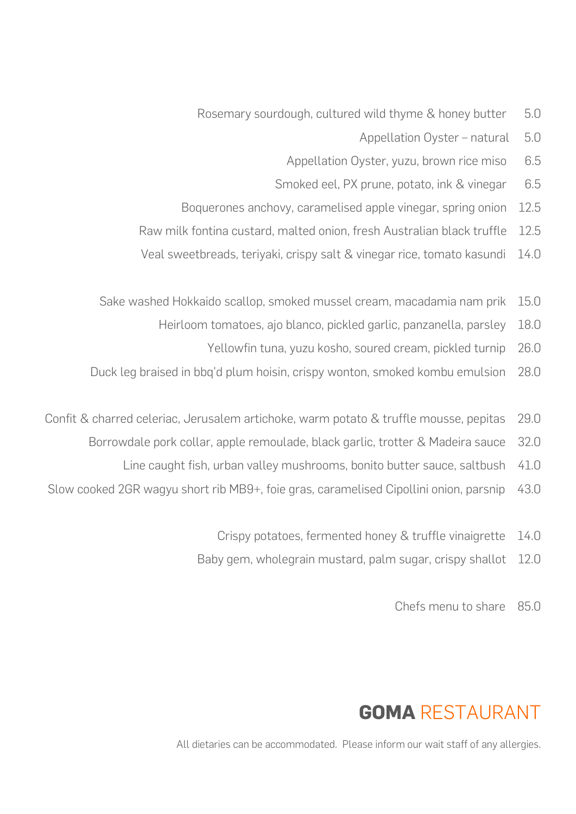- Rosemary sourdough, cultured wild thyme & honey butter 5.0
	- Appellation Oyster natural 5.0
	- Appellation Oyster, yuzu, brown rice miso 6.5
	- Smoked eel, PX prune, potato, ink & vinegar 6.5
- Boquerones anchovy, caramelised apple vinegar, spring onion 12.5
- Raw milk fontina custard, malted onion, fresh Australian black truffle 12.5
- Veal sweetbreads, teriyaki, crispy salt & vinegar rice, tomato kasundi 14.0
- Sake washed Hokkaido scallop, smoked mussel cream, macadamia nam prik 15.0
	- Heirloom tomatoes, ajo blanco, pickled garlic, panzanella, parsley 18.0
		- Yellowfin tuna, yuzu kosho, soured cream, pickled turnip 26.0
- Duck leg braised in bbq'd plum hoisin, crispy wonton, smoked kombu emulsion 28.0
- Confit & charred celeriac, Jerusalem artichoke, warm potato & truffle mousse, pepitas 29.0
	- Borrowdale pork collar, apple remoulade, black garlic, trotter & Madeira sauce 32.0
		- Line caught fish, urban valley mushrooms, bonito butter sauce, saltbush 41.0
- Slow cooked 2GR wagyu short rib MB9+, foie gras, caramelised Cipollini onion, parsnip 43.0
	- Crispy potatoes, fermented honey & truffle vinaigrette 14.0
	- Baby gem, wholegrain mustard, palm sugar, crispy shallot 12.0
		- Chefs menu to share 850

## **GOMA** RESTAURANT

All dietaries can be accommodated. Please inform our wait staff of any allergies.